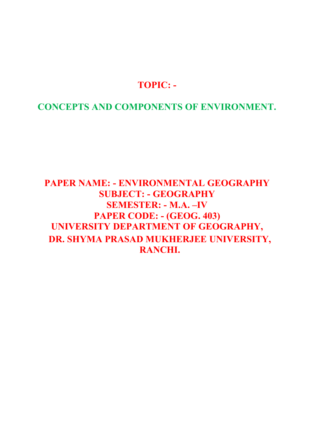# TOPIC: -

CONCEPTS AND COMPONENTS OF ENVIRONMENT.

# PAPER NAME: - ENVIRONMENTAL GEOGRAPHY SUBJECT: - GEOGRAPHY SEMESTER: - M.A. –IV PAPER CODE: - (GEOG. 403) UNIVERSITY DEPARTMENT OF GEOGRAPHY, DR. SHYMA PRASAD MUKHERJEE UNIVERSITY, RANCHI.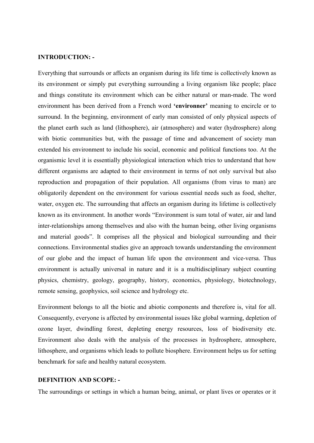#### INTRODUCTION: -

Everything that surrounds or affects an organism during its life time is collectively known as its environment or simply put everything surrounding a living organism like people; place and things constitute its environment which can be either natural or man-made. The word environment has been derived from a French word 'environner' meaning to encircle or to surround. In the beginning, environment of early man consisted of only physical aspects of the planet earth such as land (lithosphere), air (atmosphere) and water (hydrosphere) along with biotic communities but, with the passage of time and advancement of society man extended his environment to include his social, economic and political functions too. At the organismic level it is essentially physiological interaction which tries to understand that how different organisms are adapted to their environment in terms of not only survival but also reproduction and propagation of their population. All organisms (from virus to man) are obligatorily dependent on the environment for various essential needs such as food, shelter, water, oxygen etc. The surrounding that affects an organism during its lifetime is collectively known as its environment. In another words "Environment is sum total of water, air and land inter-relationships among themselves and also with the human being, other living organisms and material goods". It comprises all the physical and biological surrounding and their connections. Environmental studies give an approach towards understanding the environment of our globe and the impact of human life upon the environment and vice-versa. Thus environment is actually universal in nature and it is a multidisciplinary subject counting physics, chemistry, geology, geography, history, economics, physiology, biotechnology, remote sensing, geophysics, soil science and hydrology etc.

Environment belongs to all the biotic and abiotic components and therefore is, vital for all. Consequently, everyone is affected by environmental issues like global warming, depletion of ozone layer, dwindling forest, depleting energy resources, loss of biodiversity etc. Environment also deals with the analysis of the processes in hydrosphere, atmosphere, lithosphere, and organisms which leads to pollute biosphere. Environment helps us for setting benchmark for safe and healthy natural ecosystem.

#### DEFINITION AND SCOPE: -

The surroundings or settings in which a human being, animal, or plant lives or operates or it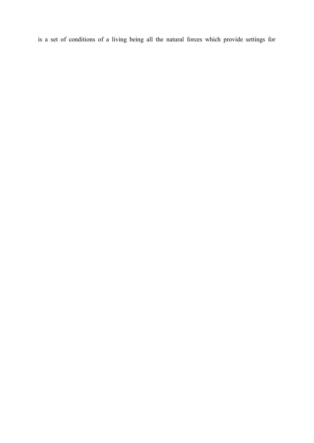is a set of conditions of a living being all the natural forces which provide settings for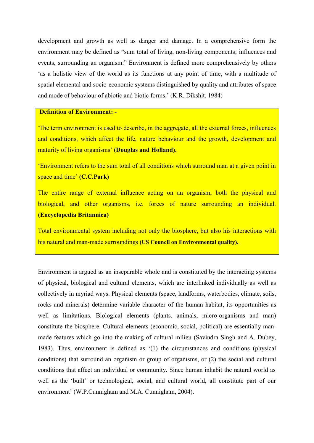development and growth as well as danger and damage. In a comprehensive form the environment may be defined as "sum total of living, non-living components; influences and events, surrounding an organism." Environment is defined more comprehensively by others 'as a holistic view of the world as its functions at any point of time, with a multitude of spatial elemental and socio-economic systems distinguished by quality and attributes of space and mode of behaviour of abiotic and biotic forms.' (K.R. Dikshit, 1984)

### Definition of Environment: -

'The term environment is used to describe, in the aggregate, all the external forces, influences and conditions, which affect the life, nature behaviour and the growth, development and maturity of living organisms' (Douglas and Holland).

'Environment refers to the sum total of all conditions which surround man at a given point in space and time' (C.C.Park)

The entire range of external influence acting on an organism, both the physical and biological, and other organisms, i.e. forces of nature surrounding an individual. (Encyclopedia Britannica)

Total environmental system including not only the biosphere, but also his interactions with his natural and man-made surroundings (US Council on Environmental quality).

Environment is argued as an inseparable whole and is constituted by the interacting systems of physical, biological and cultural elements, which are interlinked individually as well as collectively in myriad ways. Physical elements (space, landforms, waterbodies, climate, soils, rocks and minerals) determine variable character of the human habitat, its opportunities as well as limitations. Biological elements (plants, animals, micro-organisms and man) constitute the biosphere. Cultural elements (economic, social, political) are essentially manmade features which go into the making of cultural milieu (Savindra Singh and A. Dubey, 1983). Thus, environment is defined as '(1) the circumstances and conditions (physical conditions) that surround an organism or group of organisms, or (2) the social and cultural conditions that affect an individual or community. Since human inhabit the natural world as well as the 'built' or technological, social, and cultural world, all constitute part of our environment' (W.P.Cunnigham and M.A. Cunnigham, 2004).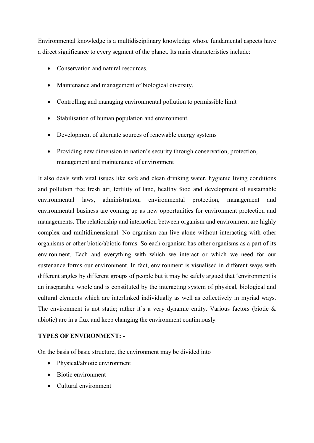Environmental knowledge is a multidisciplinary knowledge whose fundamental aspects have a direct significance to every segment of the planet. Its main characteristics include:

- Conservation and natural resources.
- Maintenance and management of biological diversity.
- Controlling and managing environmental pollution to permissible limit
- Stabilisation of human population and environment.
- Development of alternate sources of renewable energy systems
- Providing new dimension to nation's security through conservation, protection, management and maintenance of environment

It also deals with vital issues like safe and clean drinking water, hygienic living conditions and pollution free fresh air, fertility of land, healthy food and development of sustainable environmental laws, administration, environmental protection, management and environmental business are coming up as new opportunities for environment protection and managements. The relationship and interaction between organism and environment are highly complex and multidimensional. No organism can live alone without interacting with other organisms or other biotic/abiotic forms. So each organism has other organisms as a part of its environment. Each and everything with which we interact or which we need for our sustenance forms our environment. In fact, environment is visualised in different ways with different angles by different groups of people but it may be safely argued that 'environment is an inseparable whole and is constituted by the interacting system of physical, biological and cultural elements which are interlinked individually as well as collectively in myriad ways. The environment is not static; rather it's a very dynamic entity. Various factors (biotic & abiotic) are in a flux and keep changing the environment continuously.

## TYPES OF ENVIRONMENT: -

On the basis of basic structure, the environment may be divided into

- Physical/abiotic environment
- Biotic environment
- Cultural environment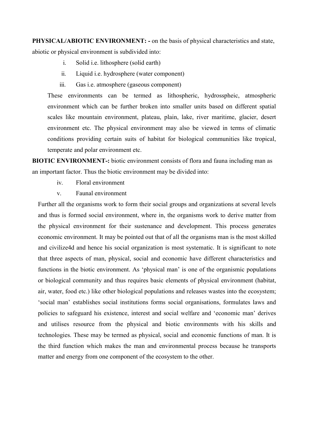PHYSICAL/ABIOTIC ENVIRONMENT: - on the basis of physical characteristics and state,

abiotic or physical environment is subdivided into:

- i. Solid i.e. lithosphere (solid earth)
- ii. Liquid i.e. hydrosphere (water component)
- iii. Gas i.e. atmosphere (gaseous component)

These environments can be termed as lithospheric, hydrosspheic, atmospheric environment which can be further broken into smaller units based on different spatial scales like mountain environment, plateau, plain, lake, river maritime, glacier, desert environment etc. The physical environment may also be viewed in terms of climatic conditions providing certain suits of habitat for biological communities like tropical, temperate and polar environment etc.

BIOTIC ENVIRONMENT-: biotic environment consists of flora and fauna including man as an important factor. Thus the biotic environment may be divided into:

- iv. Floral environment
- v. Faunal environment

Further all the organisms work to form their social groups and organizations at several levels and thus is formed social environment, where in, the organisms work to derive matter from the physical environment for their sustenance and development. This process generates economic environment. It may be pointed out that of all the organisms man is the most skilled and civilize4d and hence his social organization is most systematic. It is significant to note that three aspects of man, physical, social and economic have different characteristics and functions in the biotic environment. As 'physical man' is one of the organismic populations or biological community and thus requires basic elements of physical environment (habitat, air, water, food etc.) like other biological populations and releases wastes into the ecosystem; 'social man' establishes social institutions forms social organisations, formulates laws and policies to safeguard his existence, interest and social welfare and 'economic man' derives and utilises resource from the physical and biotic environments with his skills and technologies. These may be termed as physical, social and economic functions of man. It is the third function which makes the man and environmental process because he transports matter and energy from one component of the ecosystem to the other.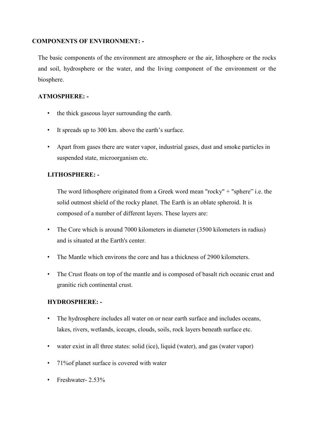## COMPONENTS OF ENVIRONMENT: -

The basic components of the environment are atmosphere or the air, lithosphere or the rocks and soil, hydrosphere or the water, and the living component of the environment or the biosphere.

## ATMOSPHERE: -

- the thick gaseous layer surrounding the earth.
- It spreads up to 300 km. above the earth's surface.
- Apart from gases there are water vapor, industrial gases, dust and smoke particles in suspended state, microorganism etc.

# LITHOSPHERE: -

The word lithosphere originated from a Greek word mean "rocky" + "sphere" i.e. the solid outmost shield of the rocky planet. The Earth is an oblate spheroid. It is composed of a number of different layers. These layers are:

- The Core which is around 7000 kilometers in diameter (3500 kilometers in radius) and is situated at the Earth's center.
- The Mantle which environs the core and has a thickness of 2900 kilometers.
- The Crust floats on top of the mantle and is composed of basalt rich oceanic crust and granitic rich continental crust.

## HYDROSPHERE: -

- The hydrosphere includes all water on or near earth surface and includes oceans, lakes, rivers, wetlands, icecaps, clouds, soils, rock layers beneath surface etc.
- water exist in all three states: solid (ice), liquid (water), and gas (water vapor)
- 71% of planet surface is covered with water
- Freshwater- 2.53%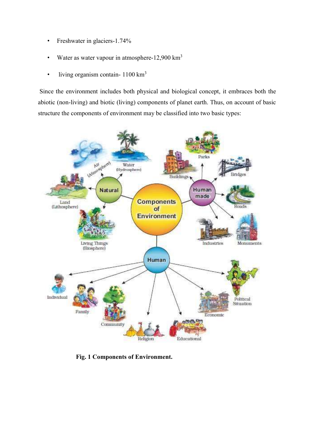- Freshwater in glaciers-1.74%
- Water as water vapour in atmosphere-12,900 km<sup>3</sup>
- living organism contain-  $1100 \text{ km}^3$

Since the environment includes both physical and biological concept, it embraces both the abiotic (non-living) and biotic (living) components of planet earth. Thus, on account of basic structure the components of environment may be classified into two basic types:



Fig. 1 Components of Environment.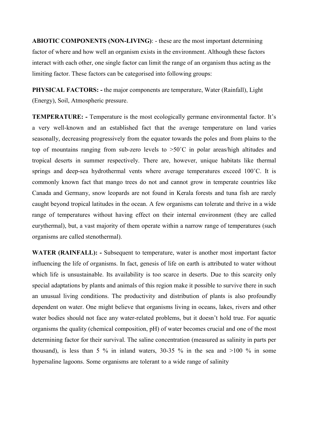ABIOTIC COMPONENTS (NON-LIVING): - these are the most important determining factor of where and how well an organism exists in the environment. Although these factors interact with each other, one single factor can limit the range of an organism thus acting as the limiting factor. These factors can be categorised into following groups:

PHYSICAL FACTORS: - the major components are temperature, Water (Rainfall), Light (Energy), Soil, Atmospheric pressure.

TEMPERATURE: - Temperature is the most ecologically germane environmental factor. It's a very well-known and an established fact that the average temperature on land varies seasonally, decreasing progressively from the equator towards the poles and from plains to the top of mountains ranging from sub-zero levels to  $>50^{\circ}$ C in polar areas/high altitudes and tropical deserts in summer respectively. There are, however, unique habitats like thermal springs and deep-sea hydrothermal vents where average temperatures exceed 100°C. It is commonly known fact that mango trees do not and cannot grow in temperate countries like Canada and Germany, snow leopards are not found in Kerala forests and tuna fish are rarely caught beyond tropical latitudes in the ocean. A few organisms can tolerate and thrive in a wide range of temperatures without having effect on their internal environment (they are called eurythermal), but, a vast majority of them operate within a narrow range of temperatures (such organisms are called stenothermal).

WATER (RAINFALL): - Subsequent to temperature, water is another most important factor influencing the life of organisms. In fact, genesis of life on earth is attributed to water without which life is unsustainable. Its availability is too scarce in deserts. Due to this scarcity only special adaptations by plants and animals of this region make it possible to survive there in such an unusual living conditions. The productivity and distribution of plants is also profoundly dependent on water. One might believe that organisms living in oceans, lakes, rivers and other water bodies should not face any water-related problems, but it doesn't hold true. For aquatic organisms the quality (chemical composition, pH) of water becomes crucial and one of the most determining factor for their survival. The saline concentration (measured as salinity in parts per thousand), is less than 5 % in inland waters, 30-35 % in the sea and  $>100$  % in some hypersaline lagoons. Some organisms are tolerant to a wide range of salinity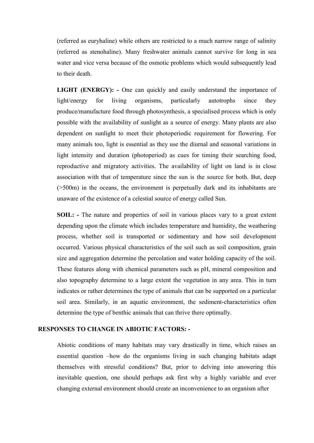(referred as euryhaline) while others are restricted to a much narrow range of salinity (referred as stenohaline). Many freshwater animals cannot survive for long in sea water and vice versa because of the osmotic problems which would subsequently lead to their death.

LIGHT (ENERGY): - One can quickly and easily understand the importance of light/energy for living organisms, particularly autotrophs since they produce/manufacture food through photosynthesis, a specialised process which is only possible with the availability of sunlight as a source of energy. Many plants are also dependent on sunlight to meet their photoperiodic requirement for flowering. For many animals too, light is essential as they use the diurnal and seasonal variations in light intensity and duration (photoperiod) as cues for timing their searching food, reproductive and migratory activities. The availability of light on land is in close association with that of temperature since the sun is the source for both. But, deep (>500m) in the oceans, the environment is perpetually dark and its inhabitants are unaware of the existence of a celestial source of energy called Sun.

SOIL: - The nature and properties of soil in various places vary to a great extent depending upon the climate which includes temperature and humidity, the weathering process, whether soil is transported or sedimentary and how soil development occurred. Various physical characteristics of the soil such as soil composition, grain size and aggregation determine the percolation and water holding capacity of the soil. These features along with chemical parameters such as pH, mineral composition and also topography determine to a large extent the vegetation in any area. This in turn indicates or rather determines the type of animals that can be supported on a particular soil area. Similarly, in an aquatic environment, the sediment-characteristics often determine the type of benthic animals that can thrive there optimally.

#### RESPONSES TO CHANGE IN ABIOTIC FACTORS: -

Abiotic conditions of many habitats may vary drastically in time, which raises an essential question –how do the organisms living in such changing habitats adapt themselves with stressful conditions? But, prior to delving into answering this inevitable question, one should perhaps ask first why a highly variable and ever changing external environment should create an inconvenience to an organism after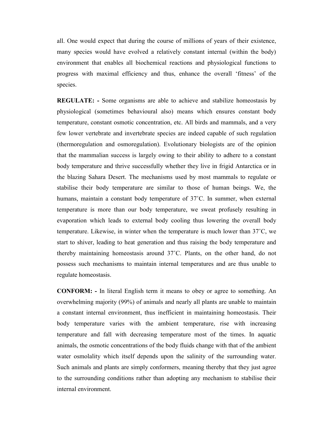all. One would expect that during the course of millions of years of their existence, many species would have evolved a relatively constant internal (within the body) environment that enables all biochemical reactions and physiological functions to progress with maximal efficiency and thus, enhance the overall 'fitness' of the species.

REGULATE: - Some organisms are able to achieve and stabilize homeostasis by physiological (sometimes behavioural also) means which ensures constant body temperature, constant osmotic concentration, etc. All birds and mammals, and a very few lower vertebrate and invertebrate species are indeed capable of such regulation (thermoregulation and osmoregulation). Evolutionary biologists are of the opinion that the mammalian success is largely owing to their ability to adhere to a constant body temperature and thrive successfully whether they live in frigid Antarctica or in the blazing Sahara Desert. The mechanisms used by most mammals to regulate or stabilise their body temperature are similar to those of human beings. We, the humans, maintain a constant body temperature of 37˚C. In summer, when external temperature is more than our body temperature, we sweat profusely resulting in evaporation which leads to external body cooling thus lowering the overall body temperature. Likewise, in winter when the temperature is much lower than 37˚C, we start to shiver, leading to heat generation and thus raising the body temperature and thereby maintaining homeostasis around 37˚C. Plants, on the other hand, do not possess such mechanisms to maintain internal temperatures and are thus unable to regulate homeostasis.

CONFORM: - In literal English term it means to obey or agree to something. An overwhelming majority (99%) of animals and nearly all plants are unable to maintain a constant internal environment, thus inefficient in maintaining homeostasis. Their body temperature varies with the ambient temperature, rise with increasing temperature and fall with decreasing temperature most of the times. In aquatic animals, the osmotic concentrations of the body fluids change with that of the ambient water osmolality which itself depends upon the salinity of the surrounding water. Such animals and plants are simply conformers, meaning thereby that they just agree to the surrounding conditions rather than adopting any mechanism to stabilise their internal environment.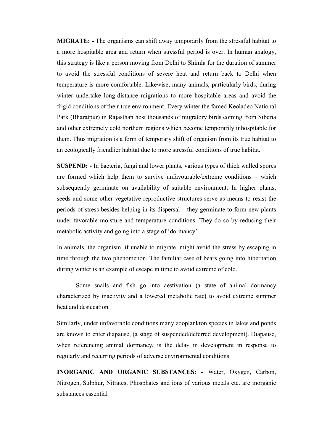MIGRATE: - The organisms can shift away temporarily from the stressful habitat to a more hospitable area and return when stressful period is over. In human analogy, this strategy is like a person moving from Delhi to Shimla for the duration of summer to avoid the stressful conditions of severe heat and return back to Delhi when temperature is more comfortable. Likewise, many animals, particularly birds, during winter undertake long-distance migrations to more hospitable areas and avoid the frigid conditions of their true environment. Every winter the famed Keoladeo National Park (Bharatpur) in Rajasthan host thousands of migratory birds coming from Siberia and other extremely cold northern regions which become temporarily inhospitable for them. Thus migration is a form of temporary shift of organism from its true habitat to an ecologically friendlier habitat due to more stressful conditions of true habitat.

SUSPEND: - In bacteria, fungi and lower plants, various types of thick walled spores are formed which help them to survive unfavourable/extreme conditions – which subsequently germinate on availability of suitable environment. In higher plants, seeds and some other vegetative reproductive structures serve as means to resist the periods of stress besides helping in its dispersal – they germinate to form new plants under favorable moisture and temperature conditions. They do so by reducing their metabolic activity and going into a stage of 'dormancy'.

In animals, the organism, if unable to migrate, might avoid the stress by escaping in time through the two phenomenon. The familiar case of bears going into hibernation during winter is an example of escape in time to avoid extreme of cold.

Some snails and fish go into aestivation (a state of animal dormancy characterized by inactivity and a lowered metabolic rate) to avoid extreme summer heat and desiccation.

Similarly, under unfavorable conditions many zooplankton species in lakes and ponds are known to enter diapause, (a stage of suspended/deferred development). Diapause, when referencing animal dormancy, is the delay in development in response to regularly and recurring periods of adverse environmental conditions

INORGANIC AND ORGANIC SUBSTANCES: - Water, Oxygen, Carbon, Nitrogen, Sulphur, Nitrates, Phosphates and ions of various metals etc. are inorganic substances essential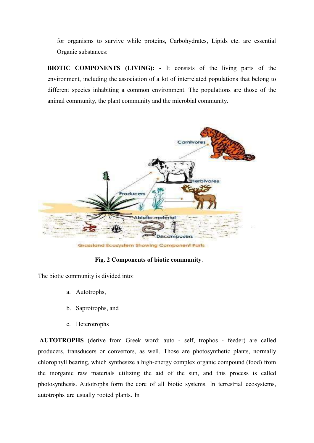for organisms to survive while proteins, Carbohydrates, Lipids etc. are essential Organic substances:

BIOTIC COMPONENTS (LIVING): - It consists of the living parts of the environment, including the association of a lot of interrelated populations that belong to different species inhabiting a common environment. The populations are those of the animal community, the plant community and the microbial community.



Grassland Ecosystem Showing Component Parts

#### Fig. 2 Components of biotic community.

The biotic community is divided into:

- a. Autotrophs,
- b. Saprotrophs, and
- c. Heterotrophs

AUTOTROPHS (derive from Greek word: auto - self, trophos - feeder) are called producers, transducers or convertors, as well. Those are photosynthetic plants, normally chlorophyll bearing, which synthesize a high-energy complex organic compound (food) from the inorganic raw materials utilizing the aid of the sun, and this process is called photosynthesis. Autotrophs form the core of all biotic systems. In terrestrial ecosystems, autotrophs are usually rooted plants. In